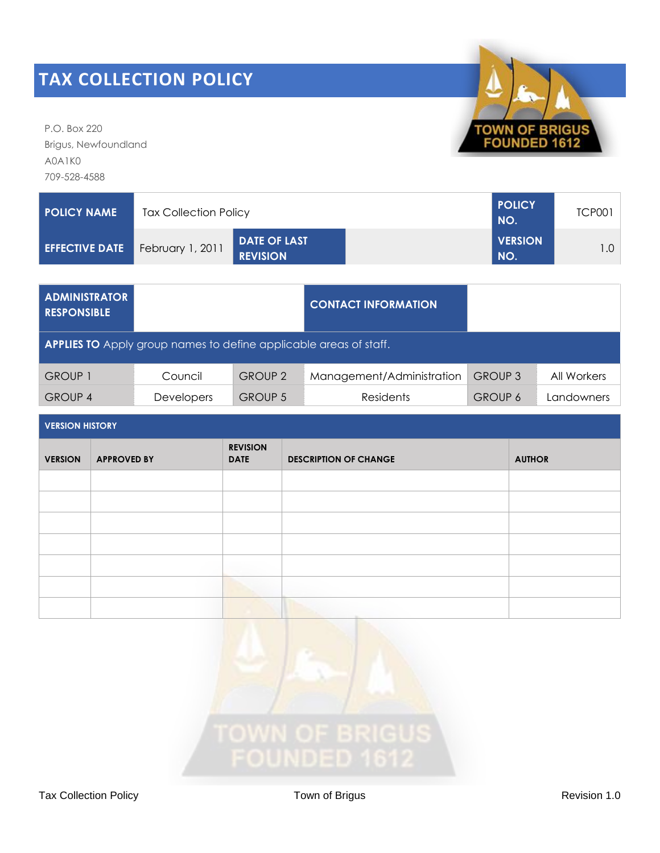P.O. Box 220 Brigus, Newfoundland A0A1K0 709-528-4588



| <b>ADMINISTRATOR</b><br><b>RESPONSIBLE</b>                               |                   |                | <b>CONTACT INFORMATION</b> |                |             |  |  |  |  |
|--------------------------------------------------------------------------|-------------------|----------------|----------------------------|----------------|-------------|--|--|--|--|
| <b>APPLIES TO</b> Apply group names to define applicable areas of staff. |                   |                |                            |                |             |  |  |  |  |
| <b>GROUP 1</b>                                                           | Council           | <b>GROUP 2</b> | Management/Administration  | <b>GROUP 3</b> | All Workers |  |  |  |  |
| <b>GROUP 4</b>                                                           | <b>Developers</b> | <b>GROUP 5</b> | <b>Residents</b>           | <b>GROUP 6</b> | Landowners  |  |  |  |  |

| <b>VERSION HISTORY</b> |  |  |
|------------------------|--|--|
|                        |  |  |

| <b>VERSION</b> | <b>APPROVED BY</b> | <b>REVISION</b><br><b>DATE</b> | <b>DESCRIPTION OF CHANGE</b> | <b>AUTHOR</b> |  |  |  |  |
|----------------|--------------------|--------------------------------|------------------------------|---------------|--|--|--|--|
|                |                    |                                |                              |               |  |  |  |  |
|                |                    |                                |                              |               |  |  |  |  |
|                |                    |                                |                              |               |  |  |  |  |
|                |                    |                                |                              |               |  |  |  |  |
|                |                    |                                |                              |               |  |  |  |  |
|                |                    |                                |                              |               |  |  |  |  |
|                |                    |                                |                              |               |  |  |  |  |



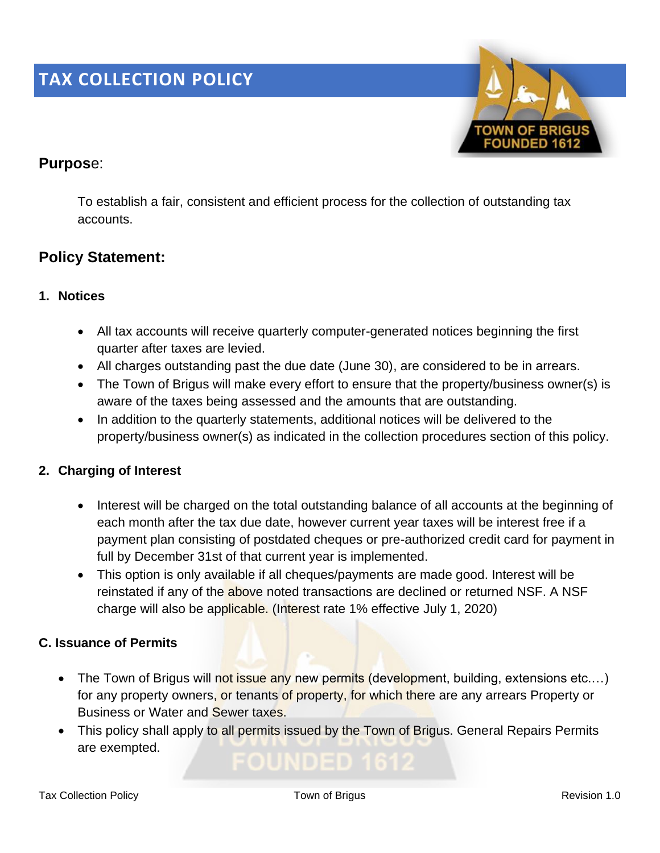

## **Purpos**e:

To establish a fair, consistent and efficient process for the collection of outstanding tax accounts.

## **Policy Statement:**

### **1. Notices**

- All tax accounts will receive quarterly computer-generated notices beginning the first quarter after taxes are levied.
- All charges outstanding past the due date (June 30), are considered to be in arrears.
- The Town of Brigus will make every effort to ensure that the property/business owner(s) is aware of the taxes being assessed and the amounts that are outstanding.
- In addition to the quarterly statements, additional notices will be delivered to the property/business owner(s) as indicated in the collection procedures section of this policy.

### **2. Charging of Interest**

- Interest will be charged on the total outstanding balance of all accounts at the beginning of each month after the tax due date, however current year taxes will be interest free if a payment plan consisting of postdated cheques or pre-authorized credit card for payment in full by December 31st of that current year is implemented.
- This option is only available if all cheques/payments are made good. Interest will be reinstated if any of the above noted transactions are declined or returned NSF. A NSF charge will also be applicable. (Interest rate 1% effective July 1, 2020)

### **C. Issuance of Permits**

- The Town of Brigus will not issue any new permits (development, building, extensions etc....) for any property owners, or tenants of property, for which there are any arrears Property or Business or Water and Sewer taxes.
- This policy shall apply to all permits issued by the Town of Brigus. General Repairs Permits are exempted.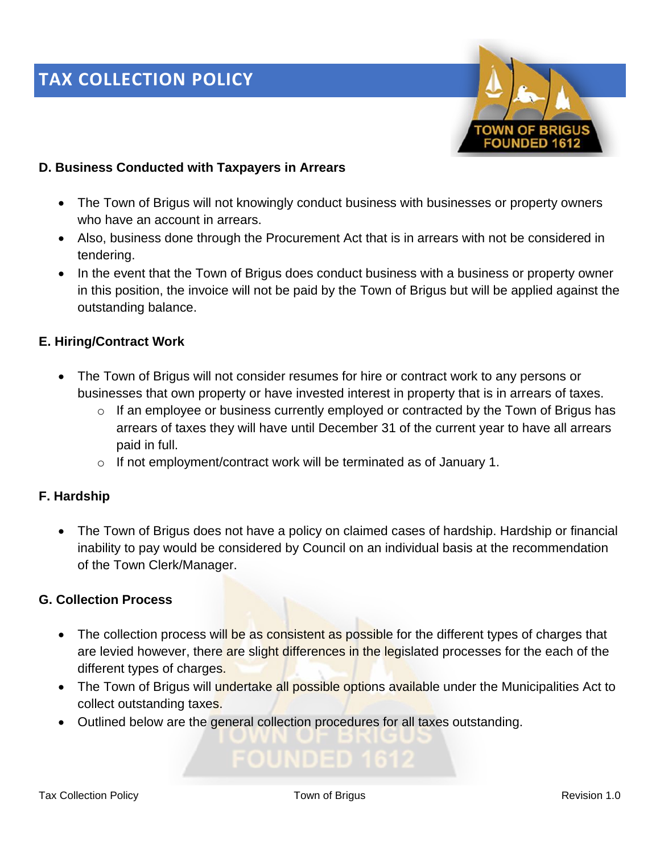

#### **D. Business Conducted with Taxpayers in Arrears**

- The Town of Brigus will not knowingly conduct business with businesses or property owners who have an account in arrears.
- Also, business done through the Procurement Act that is in arrears with not be considered in tendering.
- In the event that the Town of Brigus does conduct business with a business or property owner in this position, the invoice will not be paid by the Town of Brigus but will be applied against the outstanding balance.

#### **E. Hiring/Contract Work**

- The Town of Brigus will not consider resumes for hire or contract work to any persons or businesses that own property or have invested interest in property that is in arrears of taxes.
	- o If an employee or business currently employed or contracted by the Town of Brigus has arrears of taxes they will have until December 31 of the current year to have all arrears paid in full.
	- o If not employment/contract work will be terminated as of January 1.

#### **F. Hardship**

• The Town of Brigus does not have a policy on claimed cases of hardship. Hardship or financial inability to pay would be considered by Council on an individual basis at the recommendation of the Town Clerk/Manager.

#### **G. Collection Process**

- The collection process will be as consistent as possible for the different types of charges that are levied however, there are slight differences in the legislated processes for the each of the different types of charges.
- The Town of Brigus will undertake all possible options available under the Municipalities Act to collect outstanding taxes.
- Outlined below are the general collection procedures for all taxes outstanding.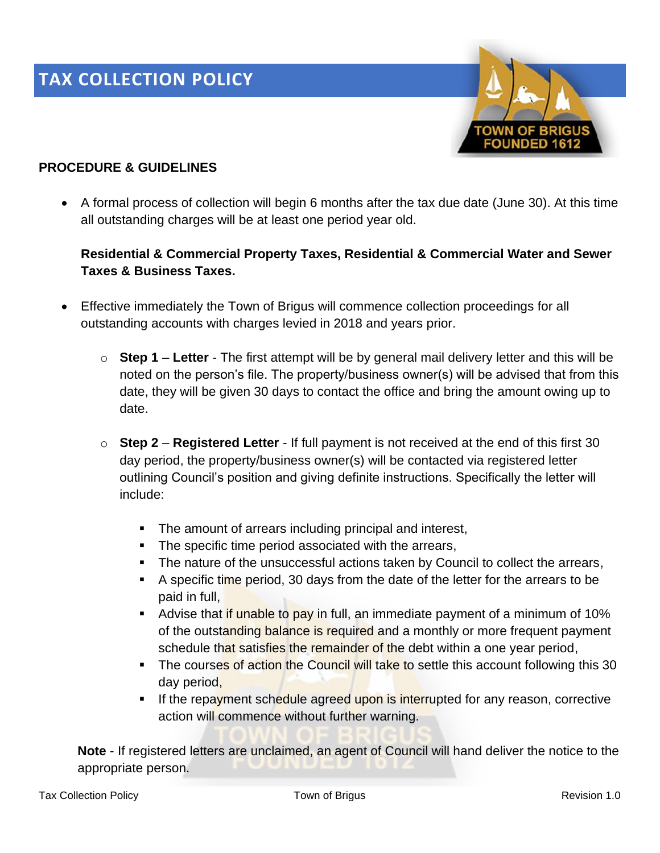

#### **PROCEDURE & GUIDELINES**

• A formal process of collection will begin 6 months after the tax due date (June 30). At this time all outstanding charges will be at least one period year old.

### **Residential & Commercial Property Taxes, Residential & Commercial Water and Sewer Taxes & Business Taxes.**

- Effective immediately the Town of Brigus will commence collection proceedings for all outstanding accounts with charges levied in 2018 and years prior.
	- o **Step 1 Letter** The first attempt will be by general mail delivery letter and this will be noted on the person's file. The property/business owner(s) will be advised that from this date, they will be given 30 days to contact the office and bring the amount owing up to date.
	- o **Step 2 Registered Letter** If full payment is not received at the end of this first 30 day period, the property/business owner(s) will be contacted via registered letter outlining Council's position and giving definite instructions. Specifically the letter will include:
		- The amount of arrears including principal and interest,
		- The specific time period associated with the arrears,
		- **The nature of the unsuccessful actions taken by Council to collect the arrears,**
		- A specific time period, 30 days from the date of the letter for the arrears to be paid in full,
		- **E** Advise that if unable to pay in full, an immediate payment of a minimum of 10% of the outstanding balance is required and a monthly or more frequent payment schedule that satisfies the remainder of the debt within a one year period,
		- **The courses of action the Council will take to settle this account following this 30** day period,
		- **EXT** If the repayment schedule agreed upon is interrupted for any reason, corrective action will commence without further warning.

**Note** - If registered letters are unclaimed, an agent of Council will hand deliver the notice to the appropriate person.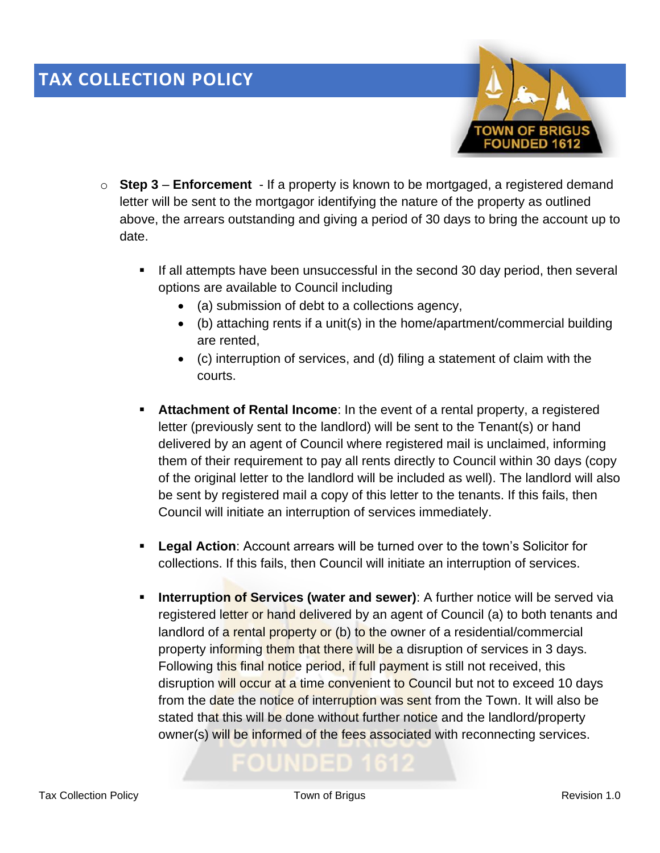

- o **Step 3 Enforcement** If a property is known to be mortgaged, a registered demand letter will be sent to the mortgagor identifying the nature of the property as outlined above, the arrears outstanding and giving a period of 30 days to bring the account up to date.
	- If all attempts have been unsuccessful in the second 30 day period, then several options are available to Council including
		- (a) submission of debt to a collections agency,
		- (b) attaching rents if a unit(s) in the home/apartment/commercial building are rented,
		- (c) interruption of services, and (d) filing a statement of claim with the courts.
	- **EXTER 15 Attachment of Rental Income:** In the event of a rental property, a registered letter (previously sent to the landlord) will be sent to the Tenant(s) or hand delivered by an agent of Council where registered mail is unclaimed, informing them of their requirement to pay all rents directly to Council within 30 days (copy of the original letter to the landlord will be included as well). The landlord will also be sent by registered mail a copy of this letter to the tenants. If this fails, then Council will initiate an interruption of services immediately.
	- **Example 20 Legal Action:** Account arrears will be turned over to the town's Solicitor for collections. If this fails, then Council will initiate an interruption of services.
	- **Interruption of Services (water and sewer)**: A further notice will be served via registered letter or hand delivered by an agent of Council (a) to both tenants and landlord of a rental property or (b) to the owner of a residential/commercial property informing them that there will be a disruption of services in 3 days. Following this final notice period, if full payment is still not received, this disruption will occur at a time convenient to Council but not to exceed 10 days from the date the notice of interruption was sent from the Town. It will also be stated that this will be done without further notice and the landlord/property owner(s) will be informed of the fees associated with reconnecting services.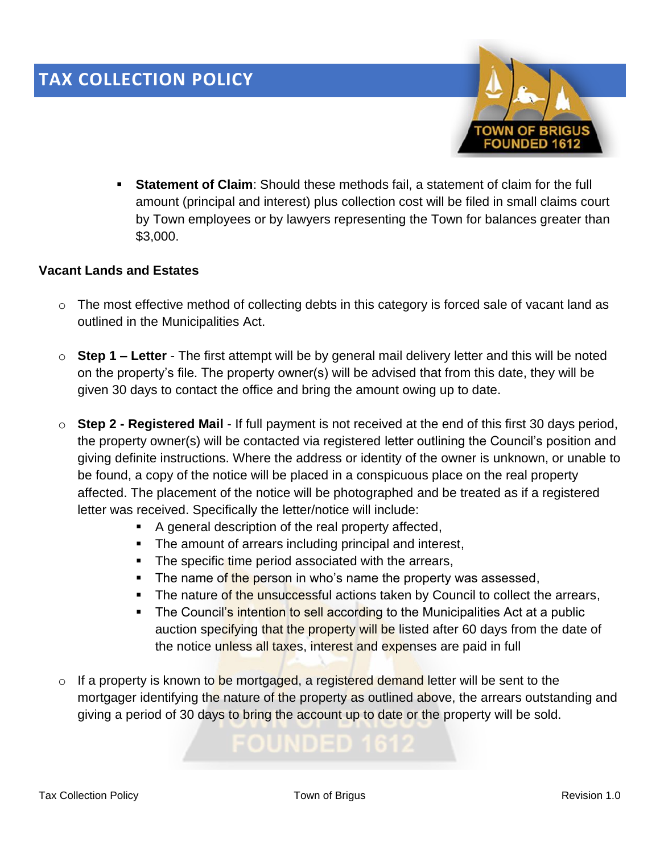

**EXECT** Statement of Claim: Should these methods fail, a statement of claim for the full amount (principal and interest) plus collection cost will be filed in small claims court by Town employees or by lawyers representing the Town for balances greater than \$3,000.

#### **Vacant Lands and Estates**

- o The most effective method of collecting debts in this category is forced sale of vacant land as outlined in the Municipalities Act.
- o **Step 1 – Letter** The first attempt will be by general mail delivery letter and this will be noted on the property's file. The property owner(s) will be advised that from this date, they will be given 30 days to contact the office and bring the amount owing up to date.
- o **Step 2 - Registered Mail** If full payment is not received at the end of this first 30 days period, the property owner(s) will be contacted via registered letter outlining the Council's position and giving definite instructions. Where the address or identity of the owner is unknown, or unable to be found, a copy of the notice will be placed in a conspicuous place on the real property affected. The placement of the notice will be photographed and be treated as if a registered letter was received. Specifically the letter/notice will include:
	- A general description of the real property affected,
	- The amount of arrears including principal and interest,
	- **The specific time period associated with the arrears,**
	- **E** The name of the person in who's name the property was assessed,
	- **EXTE:** The nature of the unsuccessful actions taken by Council to collect the arrears,
	- The Council's intention to sell according to the Municipalities Act at a public auction specifying that the property will be listed after 60 days from the date of the notice unless all taxes, interest and expenses are paid in full
- $\circ$  If a property is known to be mortgaged, a registered demand letter will be sent to the mortgager identifying the nature of the property as outlined above, the arrears outstanding and giving a period of 30 days to bring the account up to date or the property will be sold.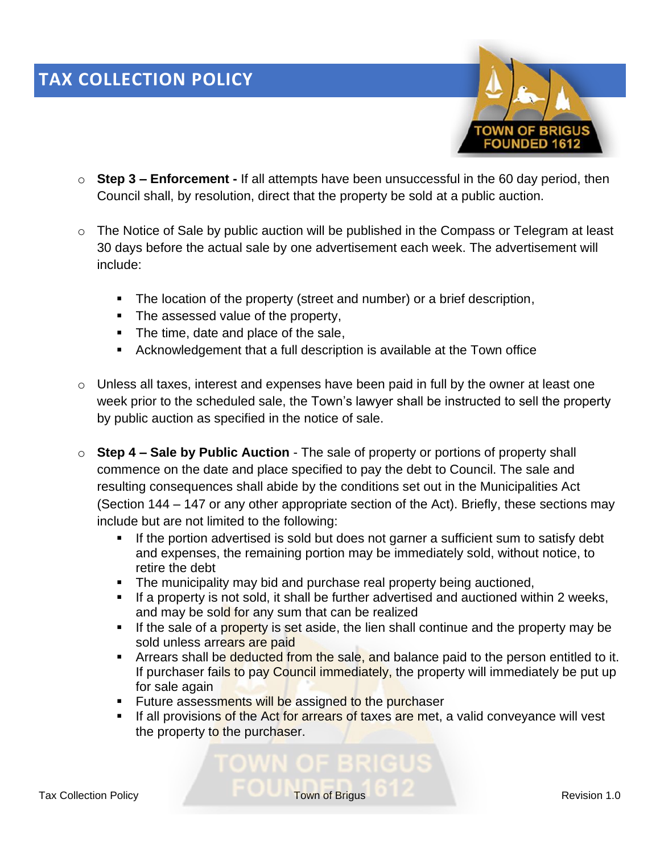

- o **Step 3 – Enforcement -** If all attempts have been unsuccessful in the 60 day period, then Council shall, by resolution, direct that the property be sold at a public auction.
- o The Notice of Sale by public auction will be published in the Compass or Telegram at least 30 days before the actual sale by one advertisement each week. The advertisement will include:
	- The location of the property (street and number) or a brief description,
	- The assessed value of the property,
	- The time, date and place of the sale,
	- Acknowledgement that a full description is available at the Town office
- o Unless all taxes, interest and expenses have been paid in full by the owner at least one week prior to the scheduled sale, the Town's lawyer shall be instructed to sell the property by public auction as specified in the notice of sale.
- o **Step 4 – Sale by Public Auction** The sale of property or portions of property shall commence on the date and place specified to pay the debt to Council. The sale and resulting consequences shall abide by the conditions set out in the Municipalities Act (Section 144 – 147 or any other appropriate section of the Act). Briefly, these sections may include but are not limited to the following:
	- **EXT** If the portion advertised is sold but does not garner a sufficient sum to satisfy debt and expenses, the remaining portion may be immediately sold, without notice, to retire the debt
	- **•** The municipality may bid and purchase real property being auctioned,
	- **■** If a property is not sold, it shall be further advertised and auctioned within 2 weeks, and may be sold for any sum that can be realized
	- **.** If the sale of a property is set aside, the lien shall continue and the property may be sold unless arrears are paid
	- **EXT** Arrears shall be deducted from the sale, and balance paid to the person entitled to it. If purchaser fails to pay Council immediately, the property will immediately be put up for sale again
	- **E** Future assessments will be assigned to the purchaser
	- **EXT** If all provisions of the Act for arrears of taxes are met, a valid conveyance will vest the property to the purchaser.